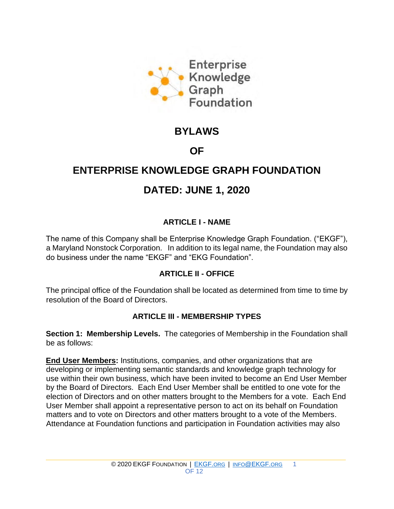

# **BYLAWS**

# **OF**

# **ENTERPRISE KNOWLEDGE GRAPH FOUNDATION**

# **DATED: JUNE 1, 2020**

### **ARTICLE I - NAME**

The name of this Company shall be Enterprise Knowledge Graph Foundation. ("EKGF"), a Maryland Nonstock Corporation. In addition to its legal name, the Foundation may also do business under the name "EKGF" and "EKG Foundation".

#### **ARTICLE II - OFFICE**

The principal office of the Foundation shall be located as determined from time to time by resolution of the Board of Directors.

#### **ARTICLE III - MEMBERSHIP TYPES**

**Section 1: Membership Levels.** The categories of Membership in the Foundation shall be as follows:

**End User Members:** Institutions, companies, and other organizations that are developing or implementing semantic standards and knowledge graph technology for use within their own business, which have been invited to become an End User Member by the Board of Directors. Each End User Member shall be entitled to one vote for the election of Directors and on other matters brought to the Members for a vote. Each End User Member shall appoint a representative person to act on its behalf on Foundation matters and to vote on Directors and other matters brought to a vote of the Members. Attendance at Foundation functions and participation in Foundation activities may also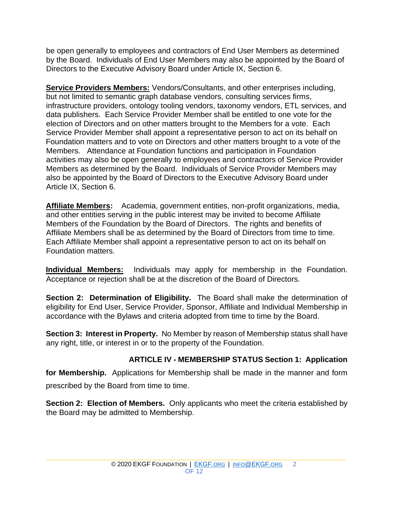be open generally to employees and contractors of End User Members as determined by the Board. Individuals of End User Members may also be appointed by the Board of Directors to the Executive Advisory Board under Article IX, Section 6.

**Service Providers Members:** Vendors/Consultants, and other enterprises including, but not limited to semantic graph database vendors, consulting services firms, infrastructure providers, ontology tooling vendors, taxonomy vendors, ETL services, and data publishers. Each Service Provider Member shall be entitled to one vote for the election of Directors and on other matters brought to the Members for a vote. Each Service Provider Member shall appoint a representative person to act on its behalf on Foundation matters and to vote on Directors and other matters brought to a vote of the Members. Attendance at Foundation functions and participation in Foundation activities may also be open generally to employees and contractors of Service Provider Members as determined by the Board. Individuals of Service Provider Members may also be appointed by the Board of Directors to the Executive Advisory Board under Article IX, Section 6.

**Affiliate Members:** Academia, government entities, non-profit organizations, media, and other entities serving in the public interest may be invited to become Affiliate Members of the Foundation by the Board of Directors. The rights and benefits of Affiliate Members shall be as determined by the Board of Directors from time to time. Each Affiliate Member shall appoint a representative person to act on its behalf on Foundation matters.

**Individual Members:** Individuals may apply for membership in the Foundation. Acceptance or rejection shall be at the discretion of the Board of Directors.

**Section 2: Determination of Eligibility.** The Board shall make the determination of eligibility for End User, Service Provider, Sponsor, Affiliate and Individual Membership in accordance with the Bylaws and criteria adopted from time to time by the Board.

**Section 3: Interest in Property.** No Member by reason of Membership status shall have any right, title, or interest in or to the property of the Foundation.

#### **ARTICLE IV - MEMBERSHIP STATUS Section 1: Application**

**for Membership.** Applications for Membership shall be made in the manner and form prescribed by the Board from time to time.

**Section 2: Election of Members.** Only applicants who meet the criteria established by the Board may be admitted to Membership.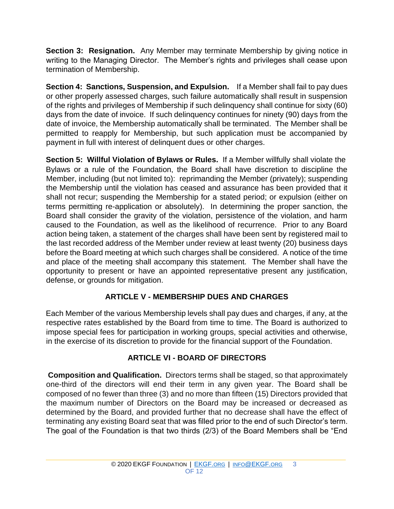**Section 3: Resignation.** Any Member may terminate Membership by giving notice in writing to the Managing Director. The Member's rights and privileges shall cease upon termination of Membership.

**Section 4: Sanctions, Suspension, and Expulsion.** If a Member shall fail to pay dues or other properly assessed charges, such failure automatically shall result in suspension of the rights and privileges of Membership if such delinquency shall continue for sixty (60) days from the date of invoice. If such delinquency continues for ninety (90) days from the date of invoice, the Membership automatically shall be terminated. The Member shall be permitted to reapply for Membership, but such application must be accompanied by payment in full with interest of delinquent dues or other charges.

**Section 5: Willful Violation of Bylaws or Rules.** If a Member willfully shall violate the Bylaws or a rule of the Foundation, the Board shall have discretion to discipline the Member, including (but not limited to): reprimanding the Member (privately); suspending the Membership until the violation has ceased and assurance has been provided that it shall not recur; suspending the Membership for a stated period; or expulsion (either on terms permitting re-application or absolutely). In determining the proper sanction, the Board shall consider the gravity of the violation, persistence of the violation, and harm caused to the Foundation, as well as the likelihood of recurrence. Prior to any Board action being taken, a statement of the charges shall have been sent by registered mail to the last recorded address of the Member under review at least twenty (20) business days before the Board meeting at which such charges shall be considered. A notice of the time and place of the meeting shall accompany this statement. The Member shall have the opportunity to present or have an appointed representative present any justification, defense, or grounds for mitigation.

#### **ARTICLE V - MEMBERSHIP DUES AND CHARGES**

Each Member of the various Membership levels shall pay dues and charges, if any, at the respective rates established by the Board from time to time. The Board is authorized to impose special fees for participation in working groups, special activities and otherwise, in the exercise of its discretion to provide for the financial support of the Foundation.

## **ARTICLE VI - BOARD OF DIRECTORS**

**Composition and Qualification.** Directors terms shall be staged, so that approximately one-third of the directors will end their term in any given year. The Board shall be composed of no fewer than three (3) and no more than fifteen (15) Directors provided that the maximum number of Directors on the Board may be increased or decreased as determined by the Board, and provided further that no decrease shall have the effect of terminating any existing Board seat that was filled prior to the end of such Director's term. The goal of the Foundation is that two thirds (2/3) of the Board Members shall be "End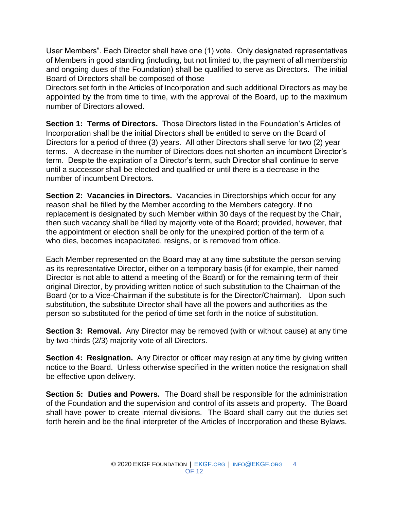User Members". Each Director shall have one (1) vote. Only designated representatives of Members in good standing (including, but not limited to, the payment of all membership and ongoing dues of the Foundation) shall be qualified to serve as Directors. The initial Board of Directors shall be composed of those

Directors set forth in the Articles of Incorporation and such additional Directors as may be appointed by the from time to time, with the approval of the Board, up to the maximum number of Directors allowed.

**Section 1: Terms of Directors.** Those Directors listed in the Foundation's Articles of Incorporation shall be the initial Directors shall be entitled to serve on the Board of Directors for a period of three (3) years. All other Directors shall serve for two (2) year terms. A decrease in the number of Directors does not shorten an incumbent Director's term. Despite the expiration of a Director's term, such Director shall continue to serve until a successor shall be elected and qualified or until there is a decrease in the number of incumbent Directors.

**Section 2: Vacancies in Directors.** Vacancies in Directorships which occur for any reason shall be filled by the Member according to the Members category. If no replacement is designated by such Member within 30 days of the request by the Chair, then such vacancy shall be filled by majority vote of the Board; provided, however, that the appointment or election shall be only for the unexpired portion of the term of a who dies, becomes incapacitated, resigns, or is removed from office.

Each Member represented on the Board may at any time substitute the person serving as its representative Director, either on a temporary basis (if for example, their named Director is not able to attend a meeting of the Board) or for the remaining term of their original Director, by providing written notice of such substitution to the Chairman of the Board (or to a Vice-Chairman if the substitute is for the Director/Chairman). Upon such substitution, the substitute Director shall have all the powers and authorities as the person so substituted for the period of time set forth in the notice of substitution.

**Section 3: Removal.** Any Director may be removed (with or without cause) at any time by two-thirds (2/3) majority vote of all Directors.

**Section 4: Resignation.** Any Director or officer may resign at any time by giving written notice to the Board. Unless otherwise specified in the written notice the resignation shall be effective upon delivery.

**Section 5: Duties and Powers.** The Board shall be responsible for the administration of the Foundation and the supervision and control of its assets and property. The Board shall have power to create internal divisions. The Board shall carry out the duties set forth herein and be the final interpreter of the Articles of Incorporation and these Bylaws.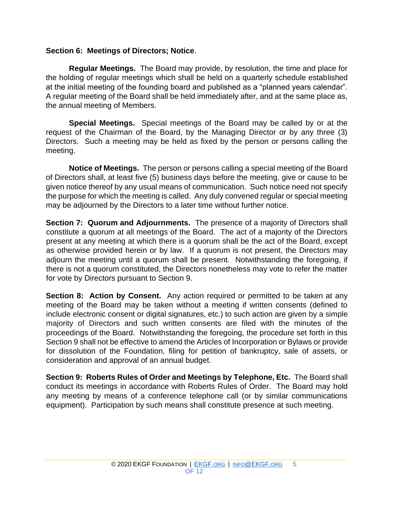#### **Section 6: Meetings of Directors; Notice**.

**Regular Meetings.** The Board may provide, by resolution, the time and place for the holding of regular meetings which shall be held on a quarterly schedule established at the initial meeting of the founding board and published as a "planned years calendar". A regular meeting of the Board shall be held immediately after, and at the same place as, the annual meeting of Members.

**Special Meetings.** Special meetings of the Board may be called by or at the request of the Chairman of the Board, by the Managing Director or by any three (3) Directors. Such a meeting may be held as fixed by the person or persons calling the meeting.

**Notice of Meetings.** The person or persons calling a special meeting of the Board of Directors shall, at least five (5) business days before the meeting, give or cause to be given notice thereof by any usual means of communication. Such notice need not specify the purpose for which the meeting is called. Any duly convened regular or special meeting may be adjourned by the Directors to a later time without further notice.

**Section 7: Quorum and Adjournments.** The presence of a majority of Directors shall constitute a quorum at all meetings of the Board. The act of a majority of the Directors present at any meeting at which there is a quorum shall be the act of the Board, except as otherwise provided herein or by law. If a quorum is not present, the Directors may adjourn the meeting until a quorum shall be present. Notwithstanding the foregoing, if there is not a quorum constituted, the Directors nonetheless may vote to refer the matter for vote by Directors pursuant to Section 9.

**Section 8: Action by Consent.** Any action required or permitted to be taken at any meeting of the Board may be taken without a meeting if written consents (defined to include electronic consent or digital signatures, etc.) to such action are given by a simple majority of Directors and such written consents are filed with the minutes of the proceedings of the Board. Notwithstanding the foregoing, the procedure set forth in this Section 9 shall not be effective to amend the Articles of Incorporation or Bylaws or provide for dissolution of the Foundation, filing for petition of bankruptcy, sale of assets, or consideration and approval of an annual budget.

**Section 9: Roberts Rules of Order and Meetings by Telephone, Etc.** The Board shall conduct its meetings in accordance with Roberts Rules of Order. The Board may hold any meeting by means of a conference telephone call (or by similar communications equipment). Participation by such means shall constitute presence at such meeting.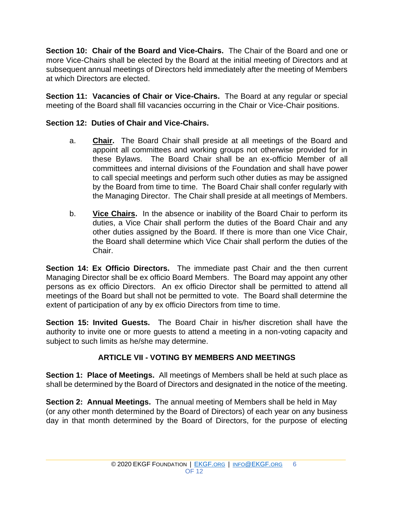**Section 10: Chair of the Board and Vice-Chairs.** The Chair of the Board and one or more Vice-Chairs shall be elected by the Board at the initial meeting of Directors and at subsequent annual meetings of Directors held immediately after the meeting of Members at which Directors are elected.

**Section 11: Vacancies of Chair or Vice-Chairs.** The Board at any regular or special meeting of the Board shall fill vacancies occurring in the Chair or Vice-Chair positions.

#### **Section 12: Duties of Chair and Vice-Chairs.**

- a. **Chair.** The Board Chair shall preside at all meetings of the Board and appoint all committees and working groups not otherwise provided for in these Bylaws. The Board Chair shall be an ex-officio Member of all committees and internal divisions of the Foundation and shall have power to call special meetings and perform such other duties as may be assigned by the Board from time to time. The Board Chair shall confer regularly with the Managing Director. The Chair shall preside at all meetings of Members.
- b. **Vice Chairs.** In the absence or inability of the Board Chair to perform its duties, a Vice Chair shall perform the duties of the Board Chair and any other duties assigned by the Board. If there is more than one Vice Chair, the Board shall determine which Vice Chair shall perform the duties of the Chair.

**Section 14: Ex Officio Directors.** The immediate past Chair and the then current Managing Director shall be ex officio Board Members. The Board may appoint any other persons as ex officio Directors. An ex officio Director shall be permitted to attend all meetings of the Board but shall not be permitted to vote. The Board shall determine the extent of participation of any by ex officio Directors from time to time.

**Section 15: Invited Guests.** The Board Chair in his/her discretion shall have the authority to invite one or more guests to attend a meeting in a non-voting capacity and subject to such limits as he/she may determine.

#### **ARTICLE VII - VOTING BY MEMBERS AND MEETINGS**

**Section 1: Place of Meetings.** All meetings of Members shall be held at such place as shall be determined by the Board of Directors and designated in the notice of the meeting.

**Section 2: Annual Meetings.** The annual meeting of Members shall be held in May (or any other month determined by the Board of Directors) of each year on any business day in that month determined by the Board of Directors, for the purpose of electing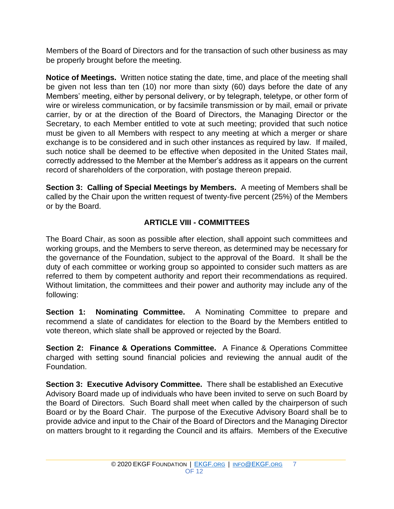Members of the Board of Directors and for the transaction of such other business as may be properly brought before the meeting.

**Notice of Meetings.** Written notice stating the date, time, and place of the meeting shall be given not less than ten (10) nor more than sixty (60) days before the date of any Members' meeting, either by personal delivery, or by telegraph, teletype, or other form of wire or wireless communication, or by facsimile transmission or by mail, email or private carrier, by or at the direction of the Board of Directors, the Managing Director or the Secretary, to each Member entitled to vote at such meeting; provided that such notice must be given to all Members with respect to any meeting at which a merger or share exchange is to be considered and in such other instances as required by law. If mailed, such notice shall be deemed to be effective when deposited in the United States mail, correctly addressed to the Member at the Member's address as it appears on the current record of shareholders of the corporation, with postage thereon prepaid.

**Section 3: Calling of Special Meetings by Members.** A meeting of Members shall be called by the Chair upon the written request of twenty-five percent (25%) of the Members or by the Board.

## **ARTICLE VIII - COMMITTEES**

The Board Chair, as soon as possible after election, shall appoint such committees and working groups, and the Members to serve thereon, as determined may be necessary for the governance of the Foundation, subject to the approval of the Board. It shall be the duty of each committee or working group so appointed to consider such matters as are referred to them by competent authority and report their recommendations as required. Without limitation, the committees and their power and authority may include any of the following:

**Section 1: Nominating Committee.** A Nominating Committee to prepare and recommend a slate of candidates for election to the Board by the Members entitled to vote thereon, which slate shall be approved or rejected by the Board.

**Section 2: Finance & Operations Committee.** A Finance & Operations Committee charged with setting sound financial policies and reviewing the annual audit of the Foundation.

**Section 3: Executive Advisory Committee.** There shall be established an Executive Advisory Board made up of individuals who have been invited to serve on such Board by the Board of Directors. Such Board shall meet when called by the chairperson of such Board or by the Board Chair. The purpose of the Executive Advisory Board shall be to provide advice and input to the Chair of the Board of Directors and the Managing Director on matters brought to it regarding the Council and its affairs. Members of the Executive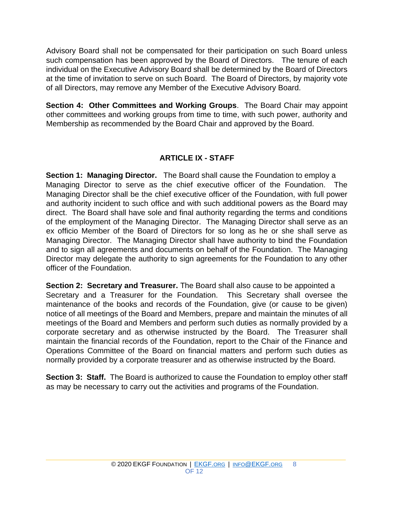Advisory Board shall not be compensated for their participation on such Board unless such compensation has been approved by the Board of Directors. The tenure of each individual on the Executive Advisory Board shall be determined by the Board of Directors at the time of invitation to serve on such Board. The Board of Directors, by majority vote of all Directors, may remove any Member of the Executive Advisory Board.

**Section 4: Other Committees and Working Groups**. The Board Chair may appoint other committees and working groups from time to time, with such power, authority and Membership as recommended by the Board Chair and approved by the Board.

### **ARTICLE IX - STAFF**

**Section 1: Managing Director.** The Board shall cause the Foundation to employ a Managing Director to serve as the chief executive officer of the Foundation. The Managing Director shall be the chief executive officer of the Foundation, with full power and authority incident to such office and with such additional powers as the Board may direct. The Board shall have sole and final authority regarding the terms and conditions of the employment of the Managing Director. The Managing Director shall serve as an ex officio Member of the Board of Directors for so long as he or she shall serve as Managing Director. The Managing Director shall have authority to bind the Foundation and to sign all agreements and documents on behalf of the Foundation. The Managing Director may delegate the authority to sign agreements for the Foundation to any other officer of the Foundation.

**Section 2: Secretary and Treasurer.** The Board shall also cause to be appointed a Secretary and a Treasurer for the Foundation. This Secretary shall oversee the maintenance of the books and records of the Foundation, give (or cause to be given) notice of all meetings of the Board and Members, prepare and maintain the minutes of all meetings of the Board and Members and perform such duties as normally provided by a corporate secretary and as otherwise instructed by the Board. The Treasurer shall maintain the financial records of the Foundation, report to the Chair of the Finance and Operations Committee of the Board on financial matters and perform such duties as normally provided by a corporate treasurer and as otherwise instructed by the Board.

**Section 3: Staff.** The Board is authorized to cause the Foundation to employ other staff as may be necessary to carry out the activities and programs of the Foundation.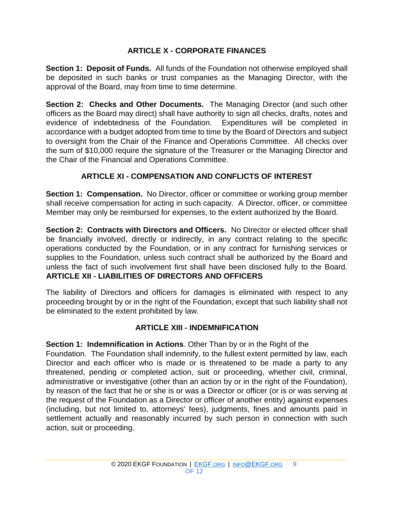#### **ARTICLE X - CORPORATE FINANCES**

**Section 1: Deposit of Funds.** All funds of the Foundation not otherwise employed shall be deposited in such banks or trust companies as the Managing Director, with the approval of the Board, may from time to time determine.

**Section 2: Checks and Other Documents.** The Managing Director (and such other officers as the Board may direct) shall have authority to sign all checks, drafts, notes and evidence of indebtedness of the Foundation. Expenditures will be completed in accordance with a budget adopted from time to time by the Board of Directors and subject to oversight from the Chair of the Finance and Operations Committee. All checks over the sum of \$10,000 require the signature of the Treasurer or the Managing Director and the Chair of the Financial and Operations Committee.

## **ARTICLE XI - COMPENSATION AND CONFLICTS OF INTEREST**

**Section 1: Compensation.** No Director, officer or committee or working group member shall receive compensation for acting in such capacity. A Director, officer, or committee Member may only be reimbursed for expenses, to the extent authorized by the Board.

**Section 2: Contracts with Directors and Officers.** No Director or elected officer shall be financially involved, directly or indirectly, in any contract relating to the specific operations conducted by the Foundation, or in any contract for furnishing services or supplies to the Foundation, unless such contract shall be authorized by the Board and unless the fact of such involvement first shall have been disclosed fully to the Board. **ARTICLE XII - LIABILITIES OF DIRECTORS AND OFFICERS** 

The liability of Directors and officers for damages is eliminated with respect to any proceeding brought by or in the right of the Foundation, except that such liability shall not be eliminated to the extent prohibited by law.

#### **ARTICLE XIII - INDEMNIFICATION**

**Section 1: Indemnification in Actions**. Other Than by or in the Right of the

Foundation. The Foundation shall indemnify, to the fullest extent permitted by law, each Director and each officer who is made or is threatened to be made a party to any threatened, pending or completed action, suit or proceeding, whether civil, criminal, administrative or investigative (other than an action by or in the right of the Foundation), by reason of the fact that he or she is or was a Director or officer (or is or was serving at the request of the Foundation as a Director or officer of another entity) against expenses (including, but not limited to, attorneys' fees), judgments, fines and amounts paid in settlement actually and reasonably incurred by such person in connection with such action, suit or proceeding.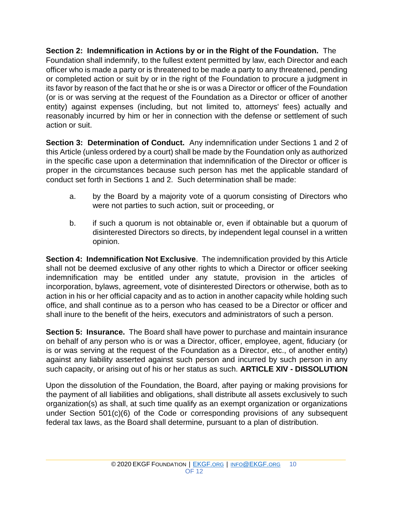**Section 2: Indemnification in Actions by or in the Right of the Foundation.** The Foundation shall indemnify, to the fullest extent permitted by law, each Director and each officer who is made a party or is threatened to be made a party to any threatened, pending or completed action or suit by or in the right of the Foundation to procure a judgment in its favor by reason of the fact that he or she is or was a Director or officer of the Foundation (or is or was serving at the request of the Foundation as a Director or officer of another entity) against expenses (including, but not limited to, attorneys' fees) actually and reasonably incurred by him or her in connection with the defense or settlement of such action or suit.

**Section 3: Determination of Conduct.** Any indemnification under Sections 1 and 2 of this Article (unless ordered by a court) shall be made by the Foundation only as authorized in the specific case upon a determination that indemnification of the Director or officer is proper in the circumstances because such person has met the applicable standard of conduct set forth in Sections 1 and 2. Such determination shall be made:

- a. by the Board by a majority vote of a quorum consisting of Directors who were not parties to such action, suit or proceeding, or
- b. if such a quorum is not obtainable or, even if obtainable but a quorum of disinterested Directors so directs, by independent legal counsel in a written opinion.

**Section 4: Indemnification Not Exclusive**. The indemnification provided by this Article shall not be deemed exclusive of any other rights to which a Director or officer seeking indemnification may be entitled under any statute, provision in the articles of incorporation, bylaws, agreement, vote of disinterested Directors or otherwise, both as to action in his or her official capacity and as to action in another capacity while holding such office, and shall continue as to a person who has ceased to be a Director or officer and shall inure to the benefit of the heirs, executors and administrators of such a person.

**Section 5: Insurance.** The Board shall have power to purchase and maintain insurance on behalf of any person who is or was a Director, officer, employee, agent, fiduciary (or is or was serving at the request of the Foundation as a Director, etc., of another entity) against any liability asserted against such person and incurred by such person in any such capacity, or arising out of his or her status as such. **ARTICLE XIV - DISSOLUTION** 

Upon the dissolution of the Foundation, the Board, after paying or making provisions for the payment of all liabilities and obligations, shall distribute all assets exclusively to such organization(s) as shall, at such time qualify as an exempt organization or organizations under Section 501(c)(6) of the Code or corresponding provisions of any subsequent federal tax laws, as the Board shall determine, pursuant to a plan of distribution.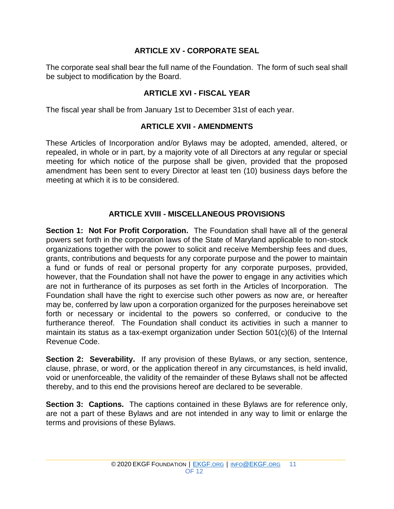#### **ARTICLE XV - CORPORATE SEAL**

The corporate seal shall bear the full name of the Foundation. The form of such seal shall be subject to modification by the Board.

#### **ARTICLE XVI - FISCAL YEAR**

The fiscal year shall be from January 1st to December 31st of each year.

#### **ARTICLE XVII - AMENDMENTS**

These Articles of Incorporation and/or Bylaws may be adopted, amended, altered, or repealed, in whole or in part, by a majority vote of all Directors at any regular or special meeting for which notice of the purpose shall be given, provided that the proposed amendment has been sent to every Director at least ten (10) business days before the meeting at which it is to be considered.

#### **ARTICLE XVIII - MISCELLANEOUS PROVISIONS**

**Section 1: Not For Profit Corporation.** The Foundation shall have all of the general powers set forth in the corporation laws of the State of Maryland applicable to non-stock organizations together with the power to solicit and receive Membership fees and dues, grants, contributions and bequests for any corporate purpose and the power to maintain a fund or funds of real or personal property for any corporate purposes, provided, however, that the Foundation shall not have the power to engage in any activities which are not in furtherance of its purposes as set forth in the Articles of Incorporation. The Foundation shall have the right to exercise such other powers as now are, or hereafter may be, conferred by law upon a corporation organized for the purposes hereinabove set forth or necessary or incidental to the powers so conferred, or conducive to the furtherance thereof. The Foundation shall conduct its activities in such a manner to maintain its status as a tax-exempt organization under Section 501(c)(6) of the Internal Revenue Code.

**Section 2: Severability.** If any provision of these Bylaws, or any section, sentence, clause, phrase, or word, or the application thereof in any circumstances, is held invalid, void or unenforceable, the validity of the remainder of these Bylaws shall not be affected thereby, and to this end the provisions hereof are declared to be severable.

**Section 3: Captions.** The captions contained in these Bylaws are for reference only, are not a part of these Bylaws and are not intended in any way to limit or enlarge the terms and provisions of these Bylaws.